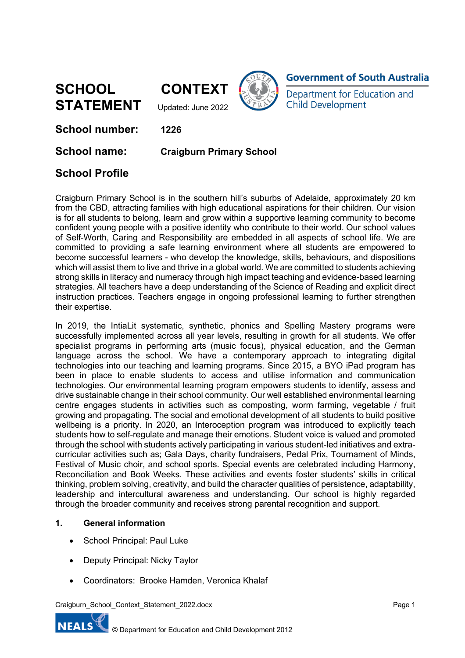**SCHOOL CONTEXT STATEMENT** Updated: June 2022







**School number: 1226**

**School name: Craigburn Primary School**

# **School Profile**

Craigburn Primary School is in the southern hill's suburbs of Adelaide, approximately 20 km from the CBD, attracting families with high educational aspirations for their children. Our vision is for all students to belong, learn and grow within a supportive learning community to become confident young people with a positive identity who contribute to their world. Our school values of Self-Worth, Caring and Responsibility are embedded in all aspects of school life. We are committed to providing a safe learning environment where all students are empowered to become successful learners - who develop the knowledge, skills, behaviours, and dispositions which will assist them to live and thrive in a global world. We are committed to students achieving strong skills in literacy and numeracy through high impact teaching and evidence-based learning strategies. All teachers have a deep understanding of the Science of Reading and explicit direct instruction practices. Teachers engage in ongoing professional learning to further strengthen their expertise.

In 2019, the IntiaLit systematic, synthetic, phonics and Spelling Mastery programs were successfully implemented across all year levels, resulting in growth for all students. We offer specialist programs in performing arts (music focus), physical education, and the German language across the school. We have a contemporary approach to integrating digital technologies into our teaching and learning programs. Since 2015, a BYO iPad program has been in place to enable students to access and utilise information and communication technologies. Our environmental learning program empowers students to identify, assess and drive sustainable change in their school community. Our well established environmental learning centre engages students in activities such as composting, worm farming, vegetable / fruit growing and propagating. The social and emotional development of all students to build positive wellbeing is a priority. In 2020, an Interoception program was introduced to explicitly teach students how to self-regulate and manage their emotions. Student voice is valued and promoted through the school with students actively participating in various student-led initiatives and extracurricular activities such as; Gala Days, charity fundraisers, Pedal Prix, Tournament of Minds, Festival of Music choir, and school sports. Special events are celebrated including Harmony, Reconciliation and Book Weeks. These activities and events foster students' skills in critical thinking, problem solving, creativity, and build the character qualities of persistence, adaptability, leadership and intercultural awareness and understanding. Our school is highly regarded through the broader community and receives strong parental recognition and support.

### **1. General information**

- School Principal: Paul Luke
- Deputy Principal: Nicky Taylor
- Coordinators: Brooke Hamden, Veronica Khalaf

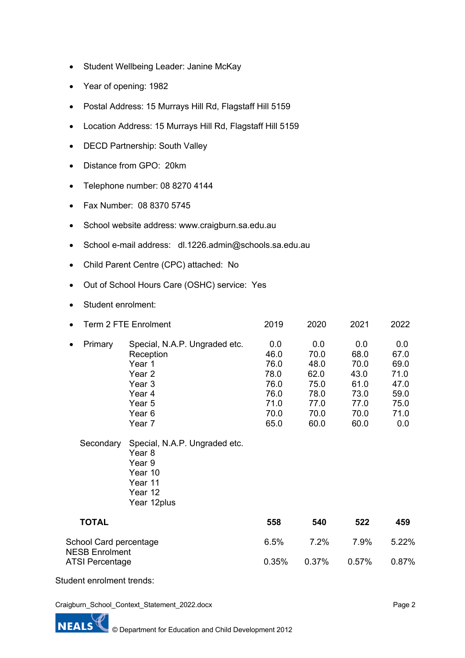- Student Wellbeing Leader: Janine McKay
- Year of opening: 1982
- Postal Address: 15 Murrays Hill Rd, Flagstaff Hill 5159
- Location Address: 15 Murrays Hill Rd, Flagstaff Hill 5159
- DECD Partnership: South Valley
- Distance from GPO: 20km
- Telephone number: 08 8270 4144
- Fax Number: 08 8370 5745
- School website address: www.craigburn.sa.edu.au
- School e-mail address: dl.1226.admin@schools.sa.edu.au
- Child Parent Centre (CPC) attached: No
- Out of School Hours Care (OSHC) service: Yes
- Student enrolment:

|                                                 | Term 2 FTE Enrolment |                                                                                                                  | 2019                                                                | 2020                                                                | 2021                                                                | 2022                                                               |
|-------------------------------------------------|----------------------|------------------------------------------------------------------------------------------------------------------|---------------------------------------------------------------------|---------------------------------------------------------------------|---------------------------------------------------------------------|--------------------------------------------------------------------|
|                                                 | Primary              | Special, N.A.P. Ungraded etc.<br>Reception<br>Year 1<br>Year 2<br>Year 3<br>Year 4<br>Year 5<br>Year 6<br>Year 7 | 0.0<br>46.0<br>76.0<br>78.0<br>76.0<br>76.0<br>71.0<br>70.0<br>65.0 | 0.0<br>70.0<br>48.0<br>62.0<br>75.0<br>78.0<br>77.0<br>70.0<br>60.0 | 0.0<br>68.0<br>70.0<br>43.0<br>61.0<br>73.0<br>77.0<br>70.0<br>60.0 | 0.0<br>67.0<br>69.0<br>71.0<br>47.0<br>59.0<br>75.0<br>71.0<br>0.0 |
|                                                 | Secondary            | Special, N.A.P. Ungraded etc.<br>Year 8<br>Year 9<br>Year 10<br>Year 11<br>Year 12<br>Year 12plus                |                                                                     |                                                                     |                                                                     |                                                                    |
|                                                 | <b>TOTAL</b>         |                                                                                                                  | 558                                                                 | 540                                                                 | 522                                                                 | 459                                                                |
| School Card percentage<br><b>NESB Enrolment</b> |                      |                                                                                                                  | 6.5%                                                                | 7.2%                                                                | 7.9%                                                                | 5.22%                                                              |

ATSI Percentage 0.35% 0.37% 0.57% 0.87%

Student enrolment trends:

Craigburn\_School\_Context\_Statement\_2022.docx



Page 2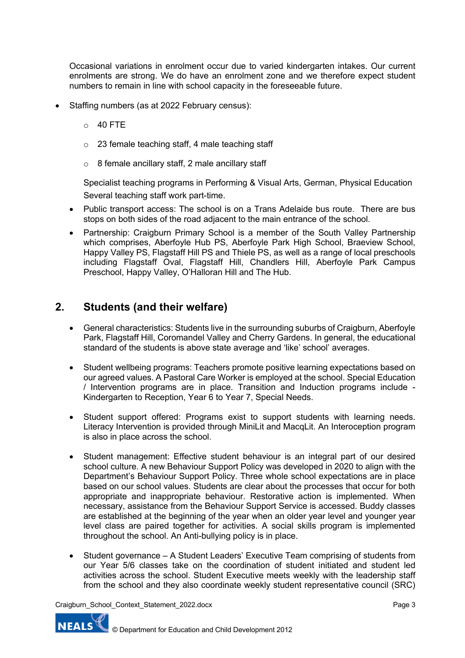Occasional variations in enrolment occur due to varied kindergarten intakes. Our current enrolments are strong. We do have an enrolment zone and we therefore expect student numbers to remain in line with school capacity in the foreseeable future.

- Staffing numbers (as at 2022 February census):
	- $O$  40 FTE
	- $\circ$  23 female teaching staff, 4 male teaching staff
	- $\circ$  8 female ancillary staff, 2 male ancillary staff

Specialist teaching programs in Performing & Visual Arts, German, Physical Education Several teaching staff work part-time.

- Public transport access: The school is on a Trans Adelaide bus route. There are bus stops on both sides of the road adjacent to the main entrance of the school.
- Partnership: Craigburn Primary School is a member of the South Valley Partnership which comprises, Aberfoyle Hub PS, Aberfoyle Park High School, Braeview School, Happy Valley PS, Flagstaff Hill PS and Thiele PS, as well as a range of local preschools including Flagstaff Oval, Flagstaff Hill, Chandlers Hill, Aberfoyle Park Campus Preschool, Happy Valley, O'Halloran Hill and The Hub.

## **2. Students (and their welfare)**

- General characteristics: Students live in the surrounding suburbs of Craigburn, Aberfoyle Park, Flagstaff Hill, Coromandel Valley and Cherry Gardens. In general, the educational standard of the students is above state average and 'like' school' averages.
- Student wellbeing programs: Teachers promote positive learning expectations based on our agreed values. A Pastoral Care Worker is employed at the school. Special Education / Intervention programs are in place. Transition and Induction programs include - Kindergarten to Reception, Year 6 to Year 7, Special Needs.
- Student support offered: Programs exist to support students with learning needs. Literacy Intervention is provided through MiniLit and MacqLit. An Interoception program is also in place across the school.
- Student management: Effective student behaviour is an integral part of our desired school culture. A new Behaviour Support Policy was developed in 2020 to align with the Department's Behaviour Support Policy. Three whole school expectations are in place based on our school values. Students are clear about the processes that occur for both appropriate and inappropriate behaviour. Restorative action is implemented. When necessary, assistance from the Behaviour Support Service is accessed. Buddy classes are established at the beginning of the year when an older year level and younger year level class are paired together for activities. A social skills program is implemented throughout the school. An Anti-bullying policy is in place.
- Student governance A Student Leaders' Executive Team comprising of students from our Year 5/6 classes take on the coordination of student initiated and student led activities across the school. Student Executive meets weekly with the leadership staff from the school and they also coordinate weekly student representative council (SRC)

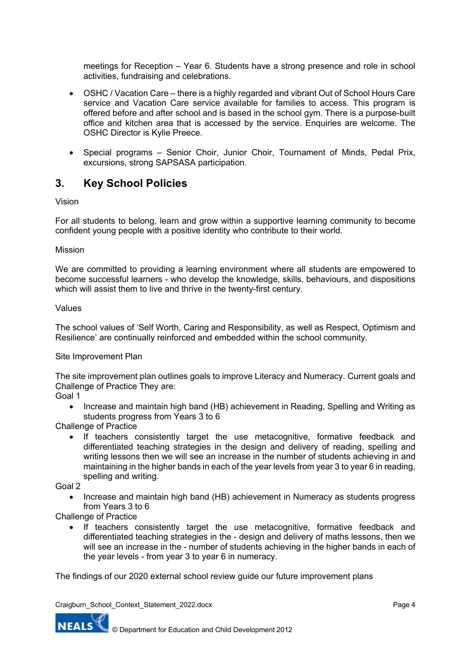meetings for Reception – Year 6. Students have a strong presence and role in school activities, fundraising and celebrations.

- OSHC / Vacation Care there is a highly regarded and vibrant Out of School Hours Care service and Vacation Care service available for families to access. This program is offered before and after school and is based in the school gym. There is a purpose-built office and kitchen area that is accessed by the service. Enquiries are welcome. The OSHC Director is Kylie Preece.
- Special programs Senior Choir, Junior Choir, Tournament of Minds, Pedal Prix, excursions, strong SAPSASA participation.

## **3. Key School Policies**

Vision

For all students to belong, learn and grow within a supportive learning community to become confident young people with a positive identity who contribute to their world.

Mission

We are committed to providing a learning environment where all students are empowered to become successful learners - who develop the knowledge, skills, behaviours, and dispositions which will assist them to live and thrive in the twenty-first century.

#### Values

The school values of 'Self Worth, Caring and Responsibility, as well as Respect, Optimism and Resilience' are continually reinforced and embedded within the school community*.*

Site Improvement Plan

The site improvement plan outlines goals to improve Literacy and Numeracy. Current goals and Challenge of Practice They are:

Goal 1

• Increase and maintain high band (HB) achievement in Reading, Spelling and Writing as students progress from Years 3 to 6

Challenge of Practice

• If teachers consistently target the use metacognitive, formative feedback and differentiated teaching strategies in the design and delivery of reading, spelling and writing lessons then we will see an increase in the number of students achieving in and maintaining in the higher bands in each of the year levels from year 3 to year 6 in reading, spelling and writing.

Goal 2

• Increase and maintain high band (HB) achievement in Numeracy as students progress from Years 3 to 6

Challenge of Practice

• If teachers consistently target the use metacognitive, formative feedback and differentiated teaching strategies in the - design and delivery of maths lessons, then we will see an increase in the - number of students achieving in the higher bands in each of the year levels - from year 3 to year 6 in numeracy.

The findings of our 2020 external school review guide our future improvement plans

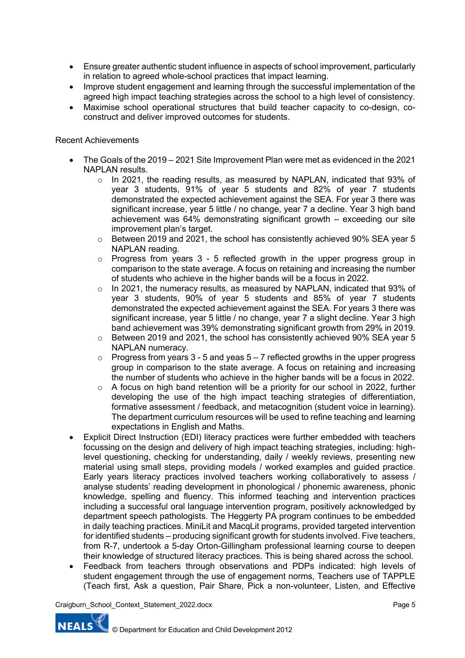- Ensure greater authentic student influence in aspects of school improvement, particularly in relation to agreed whole-school practices that impact learning.
- Improve student engagement and learning through the successful implementation of the agreed high impact teaching strategies across the school to a high level of consistency.
- Maximise school operational structures that build teacher capacity to co-design, coconstruct and deliver improved outcomes for students.

### Recent Achievements

- The Goals of the 2019 2021 Site Improvement Plan were met as evidenced in the 2021 NAPLAN results.
	- o In 2021, the reading results, as measured by NAPLAN, indicated that 93% of year 3 students, 91% of year 5 students and 82% of year 7 students demonstrated the expected achievement against the SEA. For year 3 there was significant increase, year 5 little / no change, year 7 a decline. Year 3 high band achievement was 64% demonstrating significant growth – exceeding our site improvement plan's target.
	- $\circ$  Between 2019 and 2021, the school has consistently achieved 90% SEA year 5 NAPLAN reading.
	- $\circ$  Progress from years 3 5 reflected growth in the upper progress group in comparison to the state average. A focus on retaining and increasing the number of students who achieve in the higher bands will be a focus in 2022.
	- $\circ$  In 2021, the numeracy results, as measured by NAPLAN, indicated that 93% of year 3 students, 90% of year 5 students and 85% of year 7 students demonstrated the expected achievement against the SEA. For years 3 there was significant increase, year 5 little / no change, year 7 a slight decline. Year 3 high band achievement was 39% demonstrating significant growth from 29% in 2019.
	- $\circ$  Between 2019 and 2021, the school has consistently achieved 90% SEA year 5 NAPLAN numeracy.
	- $\circ$  Progress from years 3 5 and yeas  $5 7$  reflected growths in the upper progress group in comparison to the state average. A focus on retaining and increasing the number of students who achieve in the higher bands will be a focus in 2022.
	- o A focus on high band retention will be a priority for our school in 2022, further developing the use of the high impact teaching strategies of differentiation, formative assessment / feedback, and metacognition (student voice in learning). The department curriculum resources will be used to refine teaching and learning expectations in English and Maths.
- Explicit Direct Instruction (EDI) literacy practices were further embedded with teachers focussing on the design and delivery of high impact teaching strategies, including: highlevel questioning, checking for understanding, daily / weekly reviews, presenting new material using small steps, providing models / worked examples and guided practice. Early years literacy practices involved teachers working collaboratively to assess / analyse students' reading development in phonological / phonemic awareness, phonic knowledge, spelling and fluency. This informed teaching and intervention practices including a successful oral language intervention program, positively acknowledged by department speech pathologists. The Heggerty PA program continues to be embedded in daily teaching practices. MiniLit and MacqLit programs, provided targeted intervention for identified students – producing significant growth for students involved. Five teachers, from R-7, undertook a 5-day Orton-Gillingham professional learning course to deepen their knowledge of structured literacy practices. This is being shared across the school.
- Feedback from teachers through observations and PDPs indicated: high levels of student engagement through the use of engagement norms, Teachers use of TAPPLE (Teach first, Ask a question, Pair Share, Pick a non-volunteer, Listen, and Effective

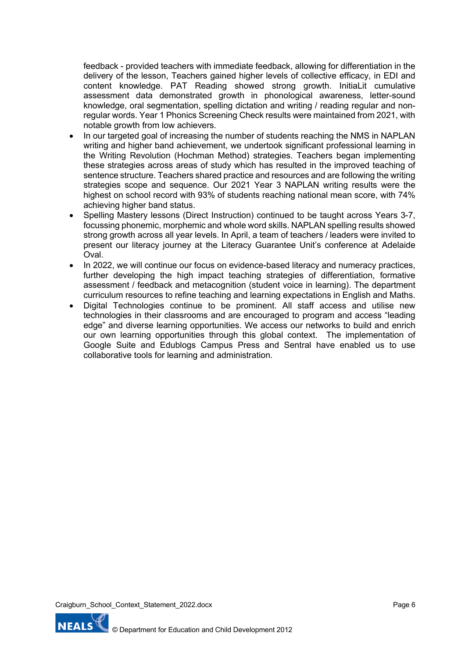feedback - provided teachers with immediate feedback, allowing for differentiation in the delivery of the lesson, Teachers gained higher levels of collective efficacy, in EDI and content knowledge. PAT Reading showed strong growth. InitiaLit cumulative assessment data demonstrated growth in phonological awareness, letter-sound knowledge, oral segmentation, spelling dictation and writing / reading regular and nonregular words. Year 1 Phonics Screening Check results were maintained from 2021, with notable growth from low achievers.

- In our targeted goal of increasing the number of students reaching the NMS in NAPLAN writing and higher band achievement, we undertook significant professional learning in the Writing Revolution (Hochman Method) strategies. Teachers began implementing these strategies across areas of study which has resulted in the improved teaching of sentence structure. Teachers shared practice and resources and are following the writing strategies scope and sequence. Our 2021 Year 3 NAPLAN writing results were the highest on school record with 93% of students reaching national mean score, with 74% achieving higher band status.
- Spelling Mastery lessons (Direct Instruction) continued to be taught across Years 3-7, focussing phonemic, morphemic and whole word skills. NAPLAN spelling results showed strong growth across all year levels. In April, a team of teachers / leaders were invited to present our literacy journey at the Literacy Guarantee Unit's conference at Adelaide Oval.
- In 2022, we will continue our focus on evidence-based literacy and numeracy practices, further developing the high impact teaching strategies of differentiation, formative assessment / feedback and metacognition (student voice in learning). The department curriculum resources to refine teaching and learning expectations in English and Maths.
- Digital Technologies continue to be prominent. All staff access and utilise new technologies in their classrooms and are encouraged to program and access "leading edge" and diverse learning opportunities. We access our networks to build and enrich our own learning opportunities through this global context. The implementation of Google Suite and Edublogs Campus Press and Sentral have enabled us to use collaborative tools for learning and administration.

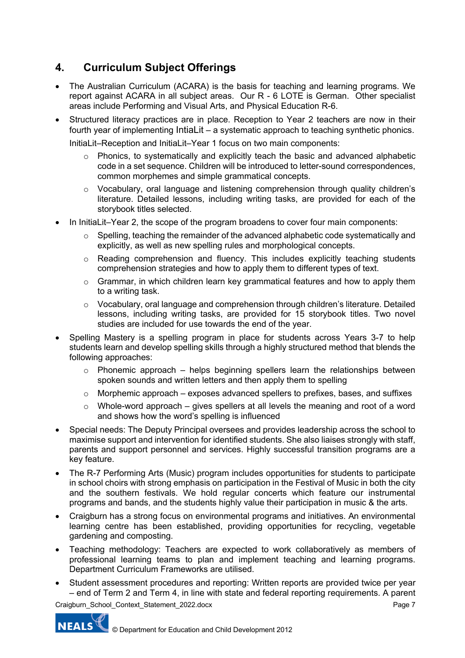# **4. Curriculum Subject Offerings**

- The Australian Curriculum (ACARA) is the basis for teaching and learning programs. We report against ACARA in all subject areas. Our R - 6 LOTE is German. Other specialist areas include Performing and Visual Arts, and Physical Education R-6.
- Structured literacy practices are in place. Reception to Year 2 teachers are now in their fourth year of implementing IntiaLit – a systematic approach to teaching synthetic phonics.

InitiaLit–Reception and InitiaLit–Year 1 focus on two main components:

- o Phonics, to systematically and explicitly teach the basic and advanced alphabetic code in a set sequence. Children will be introduced to letter-sound correspondences, common morphemes and simple grammatical concepts.
- o Vocabulary, oral language and listening comprehension through quality children's literature. Detailed lessons, including writing tasks, are provided for each of the storybook titles selected.
- In InitiaLit–Year 2, the scope of the program broadens to cover four main components:
	- o Spelling, teaching the remainder of the advanced alphabetic code systematically and explicitly, as well as new spelling rules and morphological concepts.
	- o Reading comprehension and fluency. This includes explicitly teaching students comprehension strategies and how to apply them to different types of text.
	- $\circ$  Grammar, in which children learn key grammatical features and how to apply them to a writing task.
	- o Vocabulary, oral language and comprehension through children's literature. Detailed lessons, including writing tasks, are provided for 15 storybook titles. Two novel studies are included for use towards the end of the year.
- Spelling Mastery is a spelling program in place for students across Years 3-7 to help students learn and develop spelling skills through a highly structured method that blends the following approaches:
	- $\circ$  Phonemic approach helps beginning spellers learn the relationships between spoken sounds and written letters and then apply them to spelling
	- $\circ$  Morphemic approach exposes advanced spellers to prefixes, bases, and suffixes
	- $\circ$  Whole-word approach gives spellers at all levels the meaning and root of a word and shows how the word's spelling is influenced
- Special needs: The Deputy Principal oversees and provides leadership across the school to maximise support and intervention for identified students. She also liaises strongly with staff, parents and support personnel and services. Highly successful transition programs are a key feature.
- The R-7 Performing Arts (Music) program includes opportunities for students to participate in school choirs with strong emphasis on participation in the Festival of Music in both the city and the southern festivals. We hold regular concerts which feature our instrumental programs and bands, and the students highly value their participation in music & the arts.
- Craigburn has a strong focus on environmental programs and initiatives. An environmental learning centre has been established, providing opportunities for recycling, vegetable gardening and composting.
- Teaching methodology: Teachers are expected to work collaboratively as members of professional learning teams to plan and implement teaching and learning programs. Department Curriculum Frameworks are utilised.
- Student assessment procedures and reporting: Written reports are provided twice per year – end of Term 2 and Term 4, in line with state and federal reporting requirements. A parent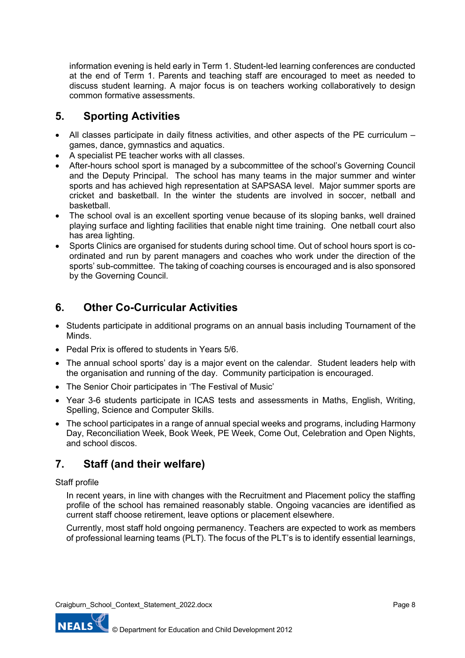information evening is held early in Term 1. Student-led learning conferences are conducted at the end of Term 1. Parents and teaching staff are encouraged to meet as needed to discuss student learning. A major focus is on teachers working collaboratively to design common formative assessments.

# **5. Sporting Activities**

- All classes participate in daily fitness activities, and other aspects of the PE curriculum games, dance, gymnastics and aquatics.
- A specialist PE teacher works with all classes.
- After-hours school sport is managed by a subcommittee of the school's Governing Council and the Deputy Principal. The school has many teams in the major summer and winter sports and has achieved high representation at SAPSASA level. Major summer sports are cricket and basketball. In the winter the students are involved in soccer, netball and basketball.
- The school oval is an excellent sporting venue because of its sloping banks, well drained playing surface and lighting facilities that enable night time training. One netball court also has area lighting.
- Sports Clinics are organised for students during school time. Out of school hours sport is coordinated and run by parent managers and coaches who work under the direction of the sports' sub-committee. The taking of coaching courses is encouraged and is also sponsored by the Governing Council.

# **6. Other Co-Curricular Activities**

- Students participate in additional programs on an annual basis including Tournament of the Minds.
- Pedal Prix is offered to students in Years 5/6.
- The annual school sports' day is a major event on the calendar. Student leaders help with the organisation and running of the day. Community participation is encouraged.
- The Senior Choir participates in 'The Festival of Music'
- Year 3-6 students participate in ICAS tests and assessments in Maths, English, Writing, Spelling, Science and Computer Skills.
- The school participates in a range of annual special weeks and programs, including Harmony Day, Reconciliation Week, Book Week, PE Week, Come Out, Celebration and Open Nights, and school discos.

# **7. Staff (and their welfare)**

### Staff profile

In recent years, in line with changes with the Recruitment and Placement policy the staffing profile of the school has remained reasonably stable. Ongoing vacancies are identified as current staff choose retirement, leave options or placement elsewhere.

Currently, most staff hold ongoing permanency. Teachers are expected to work as members of professional learning teams (PLT). The focus of the PLT's is to identify essential learnings,

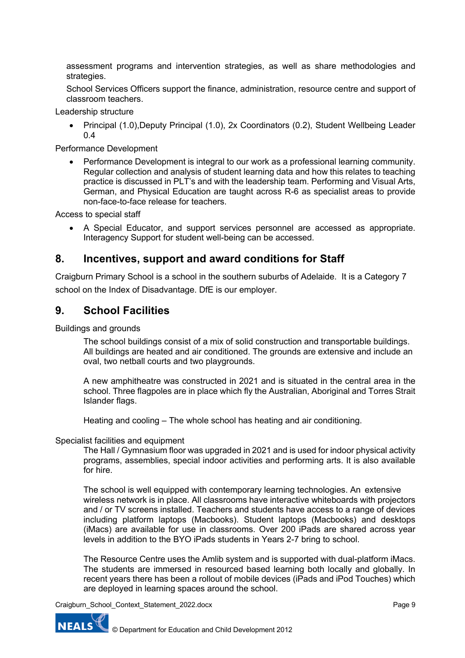assessment programs and intervention strategies, as well as share methodologies and strategies.

School Services Officers support the finance, administration, resource centre and support of classroom teachers.

Leadership structure

• Principal (1.0),Deputy Principal (1.0), 2x Coordinators (0.2), Student Wellbeing Leader 0.4

Performance Development

• Performance Development is integral to our work as a professional learning community. Regular collection and analysis of student learning data and how this relates to teaching practice is discussed in PLT's and with the leadership team. Performing and Visual Arts, German, and Physical Education are taught across R-6 as specialist areas to provide non-face-to-face release for teachers.

Access to special staff

• A Special Educator, and support services personnel are accessed as appropriate. Interagency Support for student well-being can be accessed.

### **8. Incentives, support and award conditions for Staff**

Craigburn Primary School is a school in the southern suburbs of Adelaide. It is a Category 7 school on the Index of Disadvantage. DfE is our employer.

## **9. School Facilities**

Buildings and grounds

The school buildings consist of a mix of solid construction and transportable buildings. All buildings are heated and air conditioned. The grounds are extensive and include an oval, two netball courts and two playgrounds.

A new amphitheatre was constructed in 2021 and is situated in the central area in the school. Three flagpoles are in place which fly the Australian, Aboriginal and Torres Strait Islander flags.

Heating and cooling – The whole school has heating and air conditioning.

#### Specialist facilities and equipment

The Hall / Gymnasium floor was upgraded in 2021 and is used for indoor physical activity programs, assemblies, special indoor activities and performing arts. It is also available for hire.

The school is well equipped with contemporary learning technologies. An extensive wireless network is in place. All classrooms have interactive whiteboards with projectors and / or TV screens installed. Teachers and students have access to a range of devices including platform laptops (Macbooks). Student laptops (Macbooks) and desktops (iMacs) are available for use in classrooms. Over 200 iPads are shared across year levels in addition to the BYO iPads students in Years 2-7 bring to school.

The Resource Centre uses the Amlib system and is supported with dual-platform iMacs. The students are immersed in resourced based learning both locally and globally. In recent years there has been a rollout of mobile devices (iPads and iPod Touches) which are deployed in learning spaces around the school.

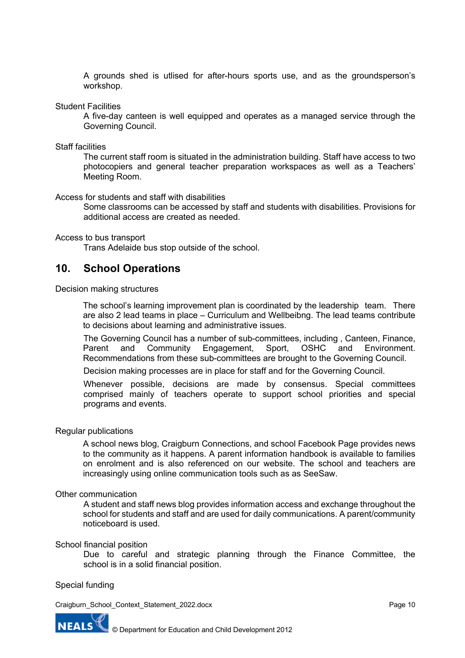A grounds shed is utlised for after-hours sports use, and as the groundsperson's workshop.

Student Facilities

A five-day canteen is well equipped and operates as a managed service through the Governing Council.

Staff facilities

The current staff room is situated in the administration building. Staff have access to two photocopiers and general teacher preparation workspaces as well as a Teachers' Meeting Room.

Access for students and staff with disabilities

Some classrooms can be accessed by staff and students with disabilities. Provisions for additional access are created as needed.

#### Access to bus transport

Trans Adelaide bus stop outside of the school.

### **10. School Operations**

Decision making structures

The school's learning improvement plan is coordinated by the leadership team. There are also 2 lead teams in place – Curriculum and Wellbeibng. The lead teams contribute to decisions about learning and administrative issues.

The Governing Council has a number of sub-committees, including , Canteen, Finance, Parent and Community Engagement, Sport, OSHC and Environment. Recommendations from these sub-committees are brought to the Governing Council.

Decision making processes are in place for staff and for the Governing Council.

Whenever possible, decisions are made by consensus. Special committees comprised mainly of teachers operate to support school priorities and special programs and events.

#### Regular publications

A school news blog, Craigburn Connections, and school Facebook Page provides news to the community as it happens. A parent information handbook is available to families on enrolment and is also referenced on our website. The school and teachers are increasingly using online communication tools such as as SeeSaw.

#### Other communication

A student and staff news blog provides information access and exchange throughout the school for students and staff and are used for daily communications. A parent/community noticeboard is used.

#### School financial position

Due to careful and strategic planning through the Finance Committee, the school is in a solid financial position.

### Special funding